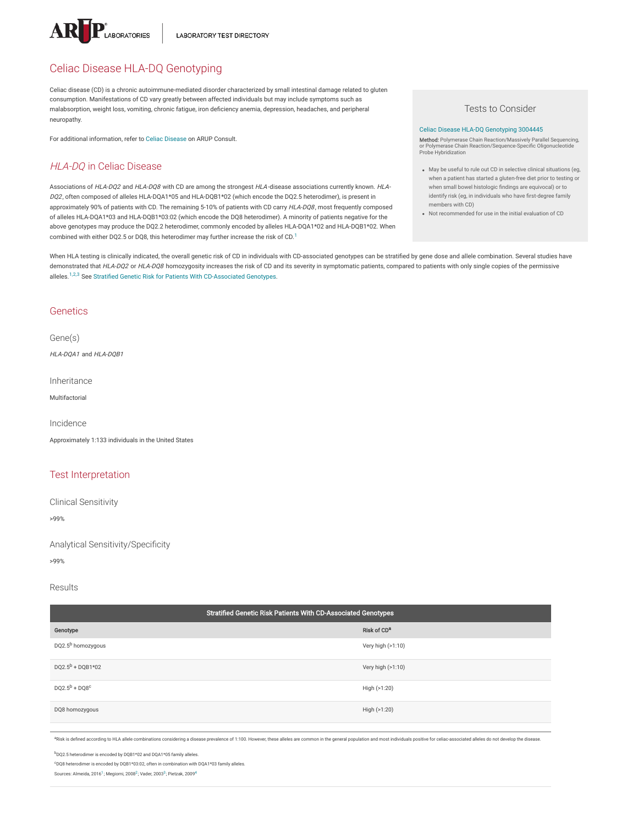

# Celiac Disease HLA-DQ Genotyping

Celiac disease (CD) is a chronic autoimmune-mediated disorder characterized by small intestinal damage related to gluten consumption. Manifestations of CD vary greatly between affected individuals but may include symptoms such as malabsorption, weight loss, vomiting, chronic fatigue, iron deficiency anemia, depression, headaches, and peripheral neuropathy.

For additional information, refer to Celiac [Disease](https://arupconsult.com/content/celiac-disease) on ARUP Consult.

# HLA-DQ in Celiac Disease

Associations of HLA-DQ2 and HLA-DQ8 with CD are among the strongest HLA-disease associations currently known. HLA-DQ2, often composed of alleles HLA-DQA1\*05 and HLA-DQB1\*02 (which encode the DQ2.5 heterodimer), is present in approximately 90% of patients with CD. The remaining 5-10% of patients with CD carry HLA-DQ8, most frequently composed of alleles HLA-DQA1\*03 and HLA-DQB1\*03:02 (which encode the DQ8 heterodimer). A minority of patients negative for the above genotypes may produce the DQ2.2 heterodimer, commonly encoded by alleles HLA-DQA1\*02 and HLA-DQB1\*02. When combined with either DQ2.5 or DQ8, this heterodimer may further increase the risk of CD.<sup>[1](#page-1-0)</sup>

Tests to Consider

#### Celiac Disease HLA-DQ [Genotyping](https://ltd.aruplab.com/Tests/Pub/3004445) 3004445

**Method**: Polymerase Chain Reaction/Massively Parallel Sequencing,<br>or Polymerase Chain Reaction/Sequence-Specific Oligonucleotide<br>Probe Hybridization

- May be useful to rule out CD in selective clinical situations (eg, when a patient has started a gluten-free diet prior to testing or when small bowel histologic findings are equivocal) or to identify risk (eg, in individuals who have first-degree family members with CD)
- Not recommended for use in the initial evaluation of CD

When HLA testing is clinically indicated, the overall genetic risk of CD in individuals with CD-associated genotypes can be stratified by gene dose and allele combination. Several studies have demonstrated that HLA-DQ2 or HLA-DQ8 homozygosity increases the risk of CD and its severity in symptomatic patients, compared to patients with only single copies of the permissive alleles.<sup>1,2,3</sup> See Stratified Genetic Risk for Patients With [CD-Associated](#page-0-0) Genotypes.

# **Genetics**

Gene(s)

 $HI$  A-DOA1 and  $HI$  A-DOB1

Inheritance

Multifactorial

Incidence

Approximately 1:133 individuals in the United States

# Test Interpretation

Clinical Sensitivity

>99%

Analytical Sensitivity/Specificity

>99%

#### Results

<span id="page-0-0"></span>

| Stratified Genetic Risk Patients With CD-Associated Genotypes |  |
|---------------------------------------------------------------|--|
| Risk of CD <sup>a</sup>                                       |  |
| Very high (>1:10)                                             |  |
| Very high (>1:10)                                             |  |
| High (>1:20)                                                  |  |
| High (>1:20)                                                  |  |
|                                                               |  |

<sup>a</sup>Risk is defined according to HLA allele combinations considering a disease prevalence of 1:100. However, these alleles are common in the general population and most individuals positive for celiac-associated alleles do

<sup>b</sup>DQ2.5 heterodimer is encoded by DQB1\*02 and DQA1\*05 family alleles.

<sup>c</sup>DQ8 heterodimer is encoded by DQB1\*03:02, often in combination with DQA1\*03 family alleles.

Sources: Almeida, 20[1](#page-1-0)6<sup>1</sup>; Megiorni, [2](#page-1-1)008<sup>2</sup>; Vader, 200[3](#page-1-2)<sup>3</sup>; Pietzak, 2009<sup>[4](#page-1-3)</sup>